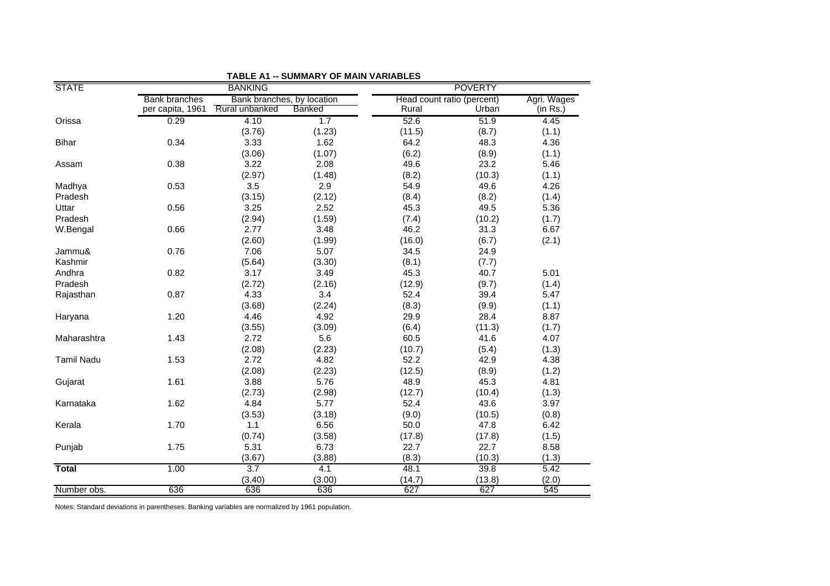| <b>STATE</b>      | <b>BANKING</b>       |                            |        | <b>POVERTY</b>             |        |             |
|-------------------|----------------------|----------------------------|--------|----------------------------|--------|-------------|
|                   | <b>Bank branches</b> | Bank branches, by location |        | Head count ratio (percent) |        | Agri. Wages |
|                   | per capita, 1961     | Rural unbanked             | Banked | Rural                      | Urban  | (in Rs.)    |
| Orissa            | 0.29                 | 4.10                       | 1.7    | 52.6                       | 51.9   | 4.45        |
|                   |                      | (3.76)                     | (1.23) | (11.5)                     | (8.7)  | (1.1)       |
| Bihar             | 0.34                 | 3.33                       | 1.62   | 64.2                       | 48.3   | 4.36        |
|                   |                      | (3.06)                     | (1.07) | (6.2)                      | (8.9)  | (1.1)       |
| Assam             | 0.38                 | 3.22                       | 2.08   | 49.6                       | 23.2   | 5.46        |
|                   |                      | (2.97)                     | (1.48) | (8.2)                      | (10.3) | (1.1)       |
| Madhya            | 0.53                 | 3.5                        | 2.9    | 54.9                       | 49.6   | 4.26        |
| Pradesh           |                      | (3.15)                     | (2.12) | (8.4)                      | (8.2)  | (1.4)       |
| Uttar             | 0.56                 | 3.25                       | 2.52   | 45.3                       | 49.5   | 5.36        |
| Pradesh           |                      | (2.94)                     | (1.59) | (7.4)                      | (10.2) | (1.7)       |
| W.Bengal          | 0.66                 | 2.77                       | 3.48   | 46.2                       | 31.3   | 6.67        |
|                   |                      | (2.60)                     | (1.99) | (16.0)                     | (6.7)  | (2.1)       |
| Jammu&            | 0.76                 | 7.06                       | 5.07   | 34.5                       | 24.9   |             |
| Kashmir           |                      | (5.64)                     | (3.30) | (8.1)                      | (7.7)  |             |
| Andhra            | 0.82                 | 3.17                       | 3.49   | 45.3                       | 40.7   | 5.01        |
| Pradesh           |                      | (2.72)                     | (2.16) | (12.9)                     | (9.7)  | (1.4)       |
| Rajasthan         | 0.87                 | 4.33                       | 3.4    | 52.4                       | 39.4   | 5.47        |
|                   |                      | (3.68)                     | (2.24) | (8.3)                      | (9.9)  | (1.1)       |
| Haryana           | 1.20                 | 4.46                       | 4.92   | 29.9                       | 28.4   | 8.87        |
|                   |                      | (3.55)                     | (3.09) | (6.4)                      | (11.3) | (1.7)       |
| Maharashtra       | 1.43                 | 2.72                       | 5.6    | 60.5                       | 41.6   | 4.07        |
|                   |                      | (2.08)                     | (2.23) | (10.7)                     | (5.4)  | (1.3)       |
| <b>Tamil Nadu</b> | 1.53                 | 2.72                       | 4.82   | 52.2                       | 42.9   | 4.38        |
|                   |                      | (2.08)                     | (2.23) | (12.5)                     | (8.9)  | (1.2)       |
| Gujarat           | 1.61                 | 3.88                       | 5.76   | 48.9                       | 45.3   | 4.81        |
|                   |                      | (2.73)                     | (2.98) | (12.7)                     | (10.4) | (1.3)       |
| Karnataka         | 1.62                 | 4.84                       | 5.77   | 52.4                       | 43.6   | 3.97        |
|                   |                      | (3.53)                     | (3.18) | (9.0)                      | (10.5) | (0.8)       |
| Kerala            | 1.70                 | 1.1                        | 6.56   | 50.0                       | 47.8   | 6.42        |
|                   |                      | (0.74)                     | (3.58) | (17.8)                     | (17.8) | (1.5)       |
| Punjab            | 1.75                 | 5.31                       | 6.73   | 22.7                       | 22.7   | 8.58        |
|                   |                      | (3.67)                     | (3.88) | (8.3)                      | (10.3) | (1.3)       |
| <b>Total</b>      | 1.00                 | 3.7                        | 4.1    | 48.1                       | 39.8   | 5.42        |
|                   |                      | (3.40)                     | (3.00) | (14.7)                     | (13.8) | (2.0)       |
| Number obs.       | 636                  | 636                        | 636    | 627                        | 627    | 545         |

 **TABLE A1 -- SUMMARY OF MAIN VARIABLES**

Notes: Standard deviations in parentheses. Banking variables are normalized by 1961 population.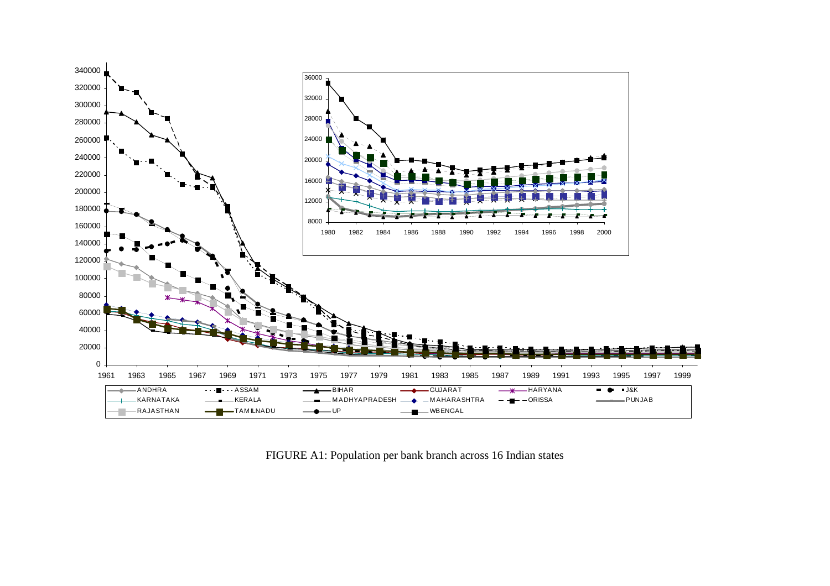

FIGURE A1: Population per bank branch across 16 Indian states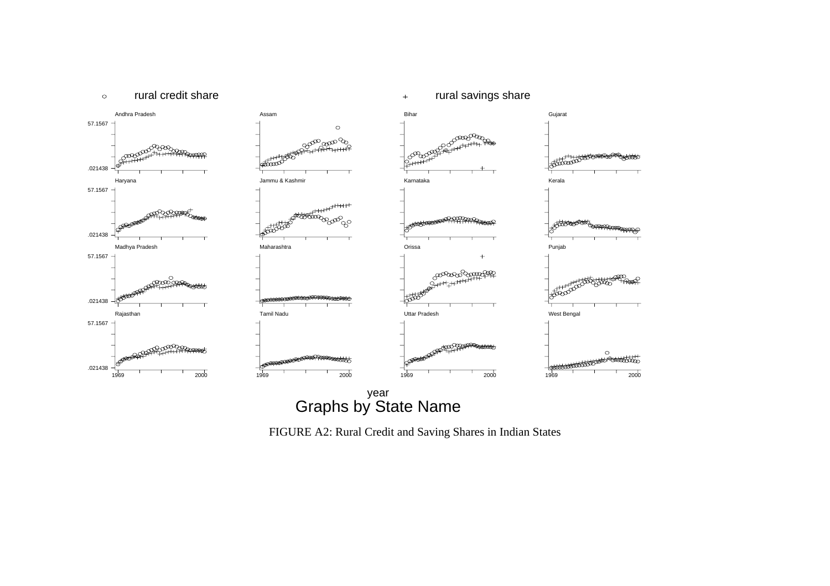

FIGURE A2: Rural Credit and Saving Shares in Indian States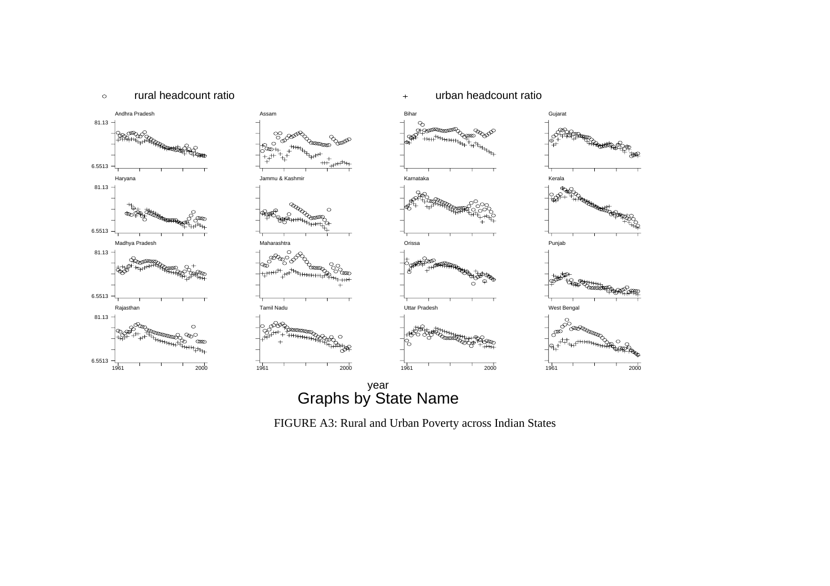

rural headcount ratio under the urban headcount ratio that headcount ratio

 $\circ$ 

Graphs by State Name year

FIGURE A3: Rural and Urban Poverty across Indian States